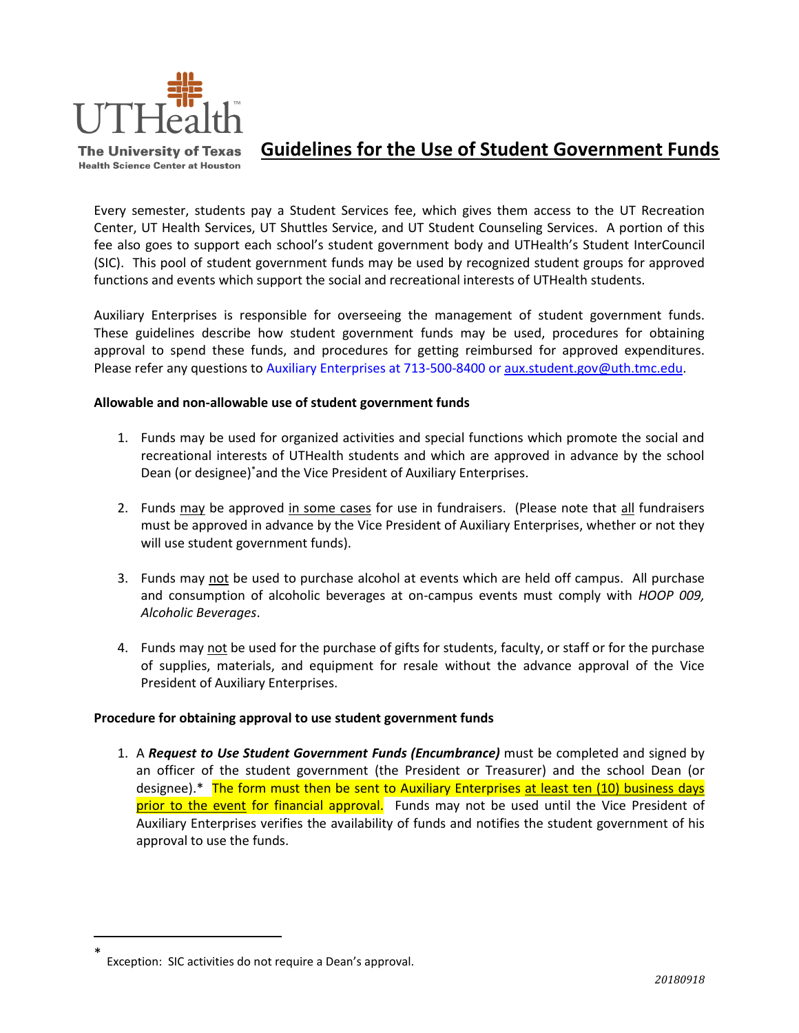

**The University of Texas Health Science Center at Houston** 

# **Guidelines for the Use of Student Government Funds**

Every semester, students pay a Student Services fee, which gives them access to the UT Recreation Center, UT Health Services, UT Shuttles Service, and UT Student Counseling Services. A portion of this fee also goes to support each school's student government body and UTHealth's Student InterCouncil (SIC). This pool of student government funds may be used by recognized student groups for approved functions and events which support the social and recreational interests of UTHealth students.

Auxiliary Enterprises is responsible for overseeing the management of student government funds. These guidelines describe how student government funds may be used, procedures for obtaining approval to spend these funds, and procedures for getting reimbursed for approved expenditures. Please refer any questions to Auxiliary Enterprises at 713-500-8400 or [aux.student.gov@uth.tmc.edu.](mailto:aux.student.gov@uth.tmc.edu)

### **Allowable and non-allowable use of student government funds**

- 1. Funds may be used for organized activities and special functions which promote the social and recreational interests of UTHealth students and which are approved in advance by the school Dean (or designee)\*and the Vice President of Auxiliary Enterprises.
- 2. Funds may be approved in some cases for use in fundraisers. (Please note that all fundraisers must be approved in advance by the Vice President of Auxiliary Enterprises, whether or not they will use student government funds).
- 3. Funds may not be used to purchase alcohol at events which are held off campus. All purchase and consumption of alcoholic beverages at on-campus events must comply with *HOOP 009, Alcoholic Beverages*.
- 4. Funds may not be used for the purchase of gifts for students, faculty, or staff or for the purchase of supplies, materials, and equipment for resale without the advance approval of the Vice President of Auxiliary Enterprises.

## **Procedure for obtaining approval to use student government funds**

1. A *Request to Use Student Government Funds (Encumbrance)* must be completed and signed by an officer of the student government (the President or Treasurer) and the school Dean (or designee).\* The form must then be sent to Auxiliary Enterprises at least ten (10) business days prior to the event for financial approval. Funds may not be used until the Vice President of Auxiliary Enterprises verifies the availability of funds and notifies the student government of his approval to use the funds.

 $\overline{a}$ 

<sup>\*</sup> Exception: SIC activities do not require a Dean's approval.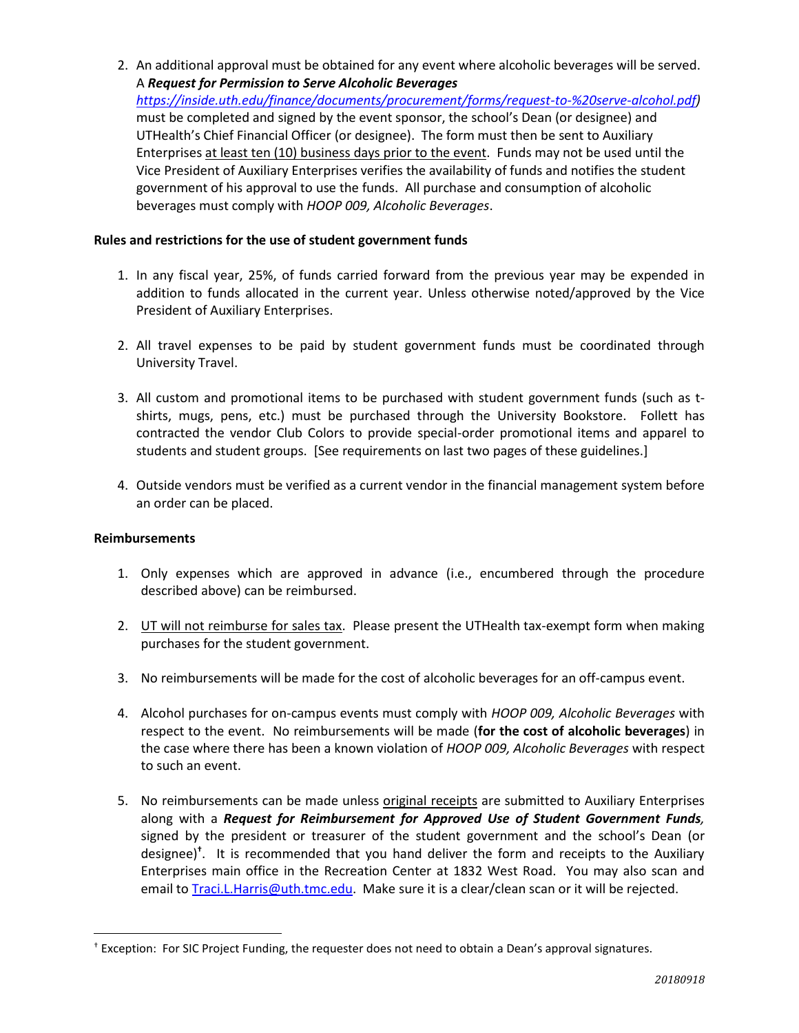2. An additional approval must be obtained for any event where alcoholic beverages will be served. A *Request for Permission to Serve Alcoholic Beverages*

*[https://inside.uth.edu/finance/documents/procurement/forms/request-to-%20serve-alcohol.pdf\)](https://inside.uth.edu/finance/documents/procurement/forms/request-to-%20serve-alcohol.pdf)* must be completed and signed by the event sponsor, the school's Dean (or designee) and UTHealth's Chief Financial Officer (or designee). The form must then be sent to Auxiliary Enterprises at least ten (10) business days prior to the event. Funds may not be used until the Vice President of Auxiliary Enterprises verifies the availability of funds and notifies the student government of his approval to use the funds. All purchase and consumption of alcoholic beverages must comply with *HOOP 009, Alcoholic Beverages*.

### **Rules and restrictions for the use of student government funds**

- 1. In any fiscal year, 25%, of funds carried forward from the previous year may be expended in addition to funds allocated in the current year. Unless otherwise noted/approved by the Vice President of Auxiliary Enterprises.
- 2. All travel expenses to be paid by student government funds must be coordinated through University Travel.
- 3. All custom and promotional items to be purchased with student government funds (such as tshirts, mugs, pens, etc.) must be purchased through the University Bookstore. Follett has contracted the vendor Club Colors to provide special-order promotional items and apparel to students and student groups. [See requirements on last two pages of these guidelines.]
- 4. Outside vendors must be verified as a current vendor in the financial management system before an order can be placed.

### **Reimbursements**

 $\overline{a}$ 

- 1. Only expenses which are approved in advance (i.e., encumbered through the procedure described above) can be reimbursed.
- 2. UT will not reimburse for sales tax. Please present the UTHealth tax-exempt form when making purchases for the student government.
- 3. No reimbursements will be made for the cost of alcoholic beverages for an off-campus event.
- 4. Alcohol purchases for on-campus events must comply with *HOOP 009, Alcoholic Beverages* with respect to the event. No reimbursements will be made (**for the cost of alcoholic beverages**) in the case where there has been a known violation of *HOOP 009, Alcoholic Beverages* with respect to such an event.
- 5. No reimbursements can be made unless original receipts are submitted to Auxiliary Enterprises along with a *Request for Reimbursement for Approved Use of Student Government Funds,*  signed by the president or treasurer of the student government and the school's Dean (or designee) **†** . It is recommended that you hand deliver the form and receipts to the Auxiliary Enterprises main office in the Recreation Center at 1832 West Road. You may also scan and email to [Traci.L.Harris@uth.tmc.edu.](mailto:Traci.L.Harris@uth.tmc.edu) Make sure it is a clear/clean scan or it will be rejected.

<sup>†</sup> Exception: For SIC Project Funding, the requester does not need to obtain a Dean's approval signatures.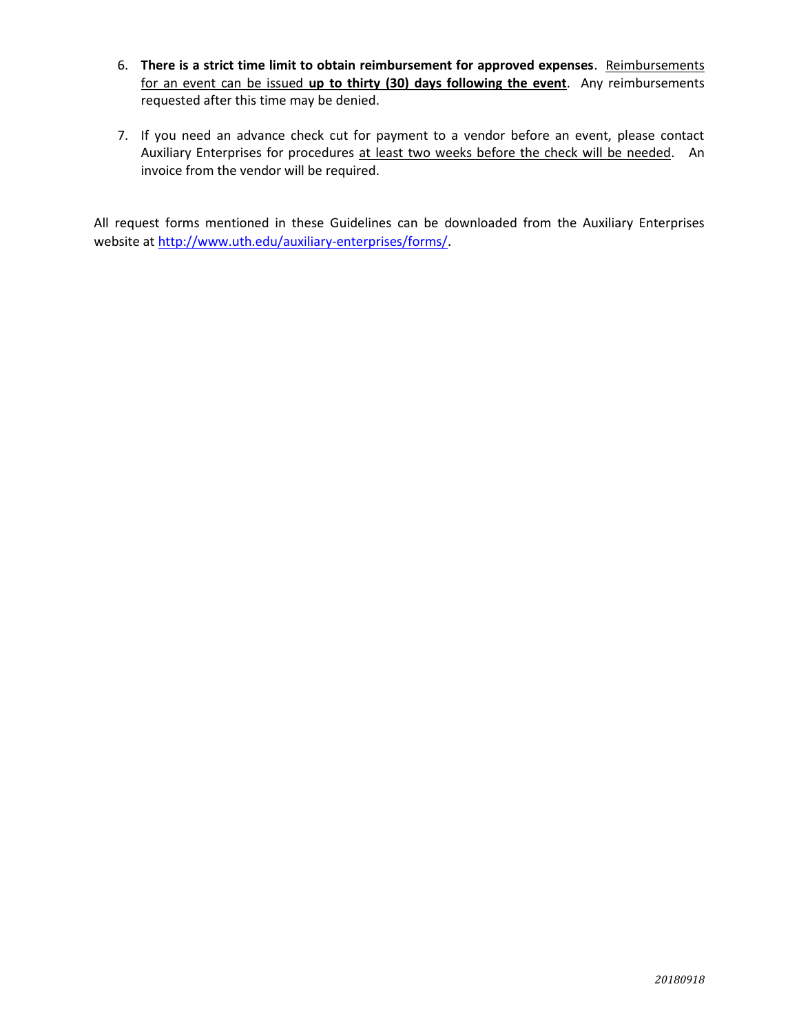- 6. **There is a strict time limit to obtain reimbursement for approved expenses**. Reimbursements for an event can be issued **up to thirty (30) days following the event**. Any reimbursements requested after this time may be denied.
- 7. If you need an advance check cut for payment to a vendor before an event, please contact Auxiliary Enterprises for procedures at least two weeks before the check will be needed. An invoice from the vendor will be required.

All request forms mentioned in these Guidelines can be downloaded from the Auxiliary Enterprises website at<http://www.uth.edu/auxiliary-enterprises/forms/>.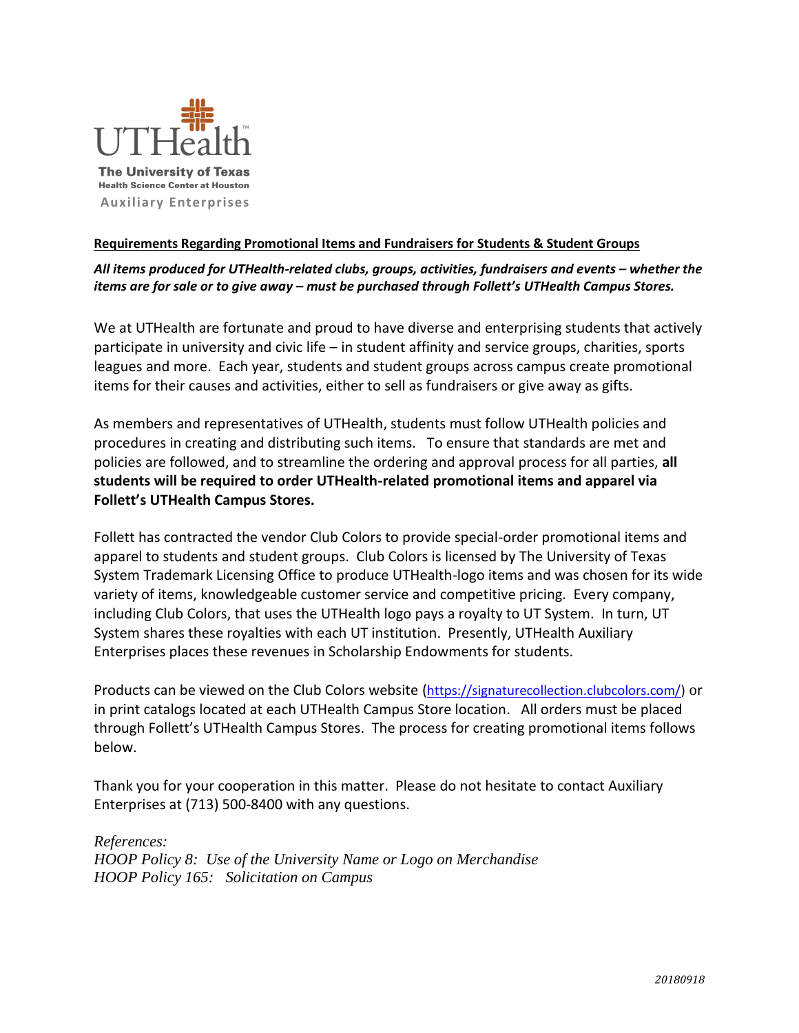

## **Requirements Regarding Promotional Items and Fundraisers for Students & Student Groups**

## All items produced for UTHealth-related clubs, groups, activities, fundraisers and events – whether the *items are for sale or to give away – must be purchased through Follett's UTHealth Campus Stores.*

We at UTHealth are fortunate and proud to have diverse and enterprising students that actively participate in university and civic life – in student affinity and service groups, charities, sports leagues and more. Each year, students and student groups across campus create promotional items for their causes and activities, either to sell as fundraisers or give away as gifts.

As members and representatives of UTHealth, students must follow UTHealth policies and procedures in creating and distributing such items. To ensure that standards are met and policies are followed, and to streamline the ordering and approval process for all parties, **all students will be required to order UTHealth-related promotional items and apparel via Follett's UTHealth Campus Stores.**

Follett has contracted the vendor Club Colors to provide special-order promotional items and apparel to students and student groups. Club Colors is licensed by The University of Texas System Trademark Licensing Office to produce UTHealth-logo items and was chosen for its wide variety of items, knowledgeable customer service and competitive pricing. Every company, including Club Colors, that uses the UTHealth logo pays a royalty to UT System. In turn, UT System shares these royalties with each UT institution. Presently, UTHealth Auxiliary Enterprises places these revenues in Scholarship Endowments for students.

Products can be viewed on the Club Colors website ([https://signaturecollection.clubcolors.com/\)](https://urldefense.proofpoint.com/v2/url?u=https-3A__signaturecollection.clubcolors.com_&d=DwMFAg&c=bKRySV-ouEg_AT-w2QWsTdd9X__KYh9Eq2fdmQDVZgw&r=Rba-gHUGURl4fU_GFIwWIFO_kO9UNsiU0d-Q9TSHno0&m=AWXqWEEr2sspycPsyvuN8WsANp4Ntq5UX6WRiQBTIoM&s=Qf6WPcMFlN1SirWk0LDc59n3NS-IWJiHJZbm_cWyZm8&e=) or in print catalogs located at each UTHealth Campus Store location. All orders must be placed through Follett's UTHealth Campus Stores. The process for creating promotional items follows below.

Thank you for your cooperation in this matter. Please do not hesitate to contact Auxiliary Enterprises at (713) 500-8400 with any questions.

### *References:*

*HOOP Policy 8: Use of the University Name or Logo on Merchandise HOOP Policy 165: Solicitation on Campus*